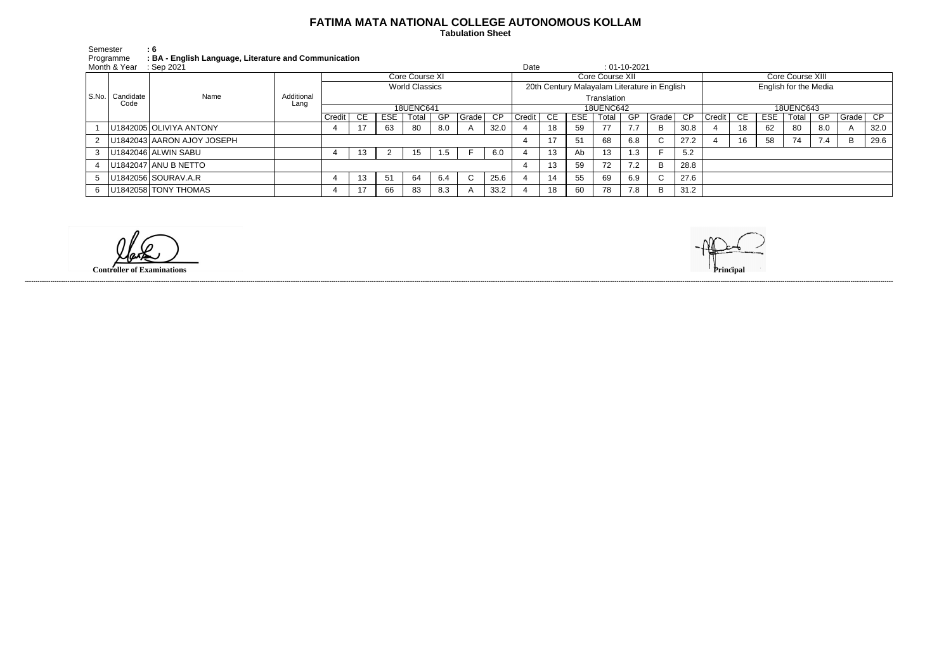## **FATIMA MATA NATIONAL COLLEGE AUTONOMOUS KOLLAM**

 **Tabulation Sheet** 

| Semester                | : 6                                                   |
|-------------------------|-------------------------------------------------------|
| Programme               | : BA - English Language, Literature and Communication |
| Month & Year : Sep 2021 |                                                       |

| Month & Year<br>$\therefore$ Sep 2021 |                           |                            |                    |                       |    |            |                |     |       |                                              |                  | Date |                 |       | $: 01-10-2021$ |                     |                       |                  |      |            |                  |     |          |      |  |  |
|---------------------------------------|---------------------------|----------------------------|--------------------|-----------------------|----|------------|----------------|-----|-------|----------------------------------------------|------------------|------|-----------------|-------|----------------|---------------------|-----------------------|------------------|------|------------|------------------|-----|----------|------|--|--|
|                                       |                           |                            |                    |                       |    |            | Core Course XI |     |       |                                              |                  |      | Core Course XII |       |                |                     |                       |                  |      |            | Core Course XIII |     |          |      |  |  |
|                                       |                           | Name                       |                    | <b>World Classics</b> |    |            |                |     |       | 20th Century Malayalam Literature in English |                  |      |                 |       |                |                     | English for the Media |                  |      |            |                  |     |          |      |  |  |
|                                       | S.No.   Candidate<br>Code |                            | Additional<br>Lang |                       |    |            |                |     |       |                                              | Translation      |      |                 |       |                |                     |                       |                  |      |            |                  |     |          |      |  |  |
|                                       |                           |                            |                    | <b>18UENC641</b>      |    |            |                |     |       |                                              | <b>18UENC642</b> |      |                 |       |                |                     |                       | <b>18UENC643</b> |      |            |                  |     |          |      |  |  |
|                                       |                           |                            |                    | Credit                | CE | <b>ESE</b> | Total          | GP  | Grade | CP                                           | <b>Credit</b>    | CE   | ESE             | Total | GP             | Grade <sub>CP</sub> |                       | Credit           | - CE | <b>ESE</b> | Total            | GP  | Grade CP |      |  |  |
|                                       |                           | U1842005 OLIVIYA ANTONY    |                    |                       |    | 63         | 80             | 8.0 |       | 32.0                                         |                  | 18   | -59             | 77    |                | B.                  | 30.8                  |                  | 18   | 62         | -80              | 8.0 |          | 32.0 |  |  |
|                                       |                           | U1842043 AARON AJOY JOSEPH |                    |                       |    |            |                |     |       |                                              |                  | 17   | -51             | 68    | 6.8            | C                   | 27.2                  |                  | 16   | 58         | 74               | 7.4 | <b>B</b> | 29.6 |  |  |
|                                       |                           | U1842046 ALWIN SABU        |                    |                       | 13 |            | 15             | 1.5 |       | 6.0                                          |                  | 13   | Ab              | 13    | 1.3            |                     | 5.2                   |                  |      |            |                  |     |          |      |  |  |
|                                       |                           | U1842047 ANU B NETTO       |                    |                       |    |            |                |     |       |                                              |                  | 13   | 59              | 72    | 7.2            | B                   | 28.8                  |                  |      |            |                  |     |          |      |  |  |
|                                       |                           | U1842056 SOURAV.A.R        |                    |                       | 13 | 51         | 64             | 6.4 |       | 25.6                                         |                  | 14   | -55             | 69    | 6.9            | C                   | 27.6                  |                  |      |            |                  |     |          |      |  |  |
|                                       |                           | U1842058 TONY THOMAS       |                    |                       | 17 | 66         | 83             | 8.3 |       | 33.2                                         |                  | 18   | 60              | 78    | 7.8            | B                   | 31.2                  |                  |      |            |                  |     |          |      |  |  |

**Controller of Examinations Principal**

------------------------------------------------------------------------------------------------------------------------------------------------------------------------------------------------------------------------------------------------------------------------------------------------------------------------------------------------------------------------------------------------------------------------